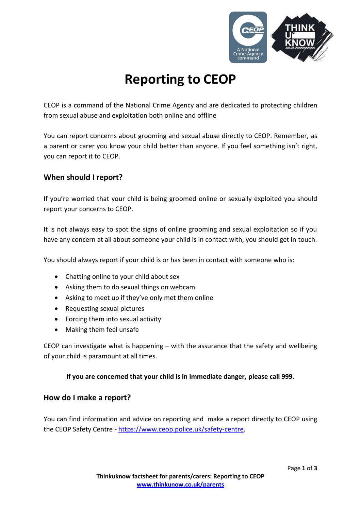

# **Reporting to CEOP**

CEOP is a command of the National Crime Agency and are dedicated to protecting children from sexual abuse and exploitation both online and offline

You can report concerns about grooming and sexual abuse directly to CEOP. Remember, as a parent or carer you know your child better than anyone. If you feel something isn't right, you can report it to CEOP.

## **When should I report?**

If you're worried that your child is being groomed online or sexually exploited you should report your concerns to CEOP.

It is not always easy to spot the signs of online grooming and sexual exploitation so if you have any concern at all about someone your child is in contact with, you should get in touch.

You should always report if your child is or has been in contact with someone who is:

- Chatting online to your child about sex
- Asking them to do sexual things on webcam
- Asking to meet up if they've only met them online
- Requesting sexual pictures
- Forcing them into sexual activity
- Making them feel unsafe

CEOP can investigate what is happening  $-$  with the assurance that the safety and wellbeing of your child is paramount at all times.

#### **If you are concerned that your child is in immediate danger, please call 999.**

#### **How do I make a report?**

You can find information and advice on reporting and make a report directly to CEOP using the CEOP Safety Centre - [https://www.ceop.police.uk/safety-centre.](https://www.ceop.police.uk/safety-centre)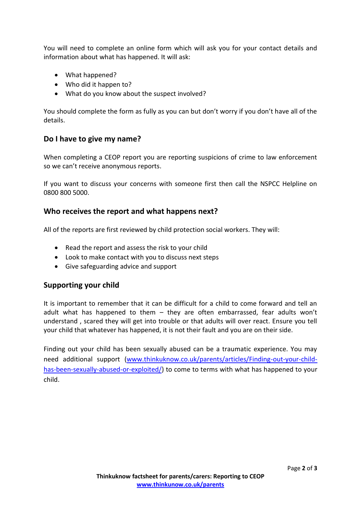You will need to complete an online form which will ask you for your contact details and information about what has happened. It will ask:

- What happened?
- Who did it happen to?
- What do you know about the suspect involved?

You should complete the form as fully as you can but don't worry if you don't have all of the details.

### **Do I have to give my name?**

When completing a CEOP report you are reporting suspicions of crime to law enforcement so we can't receive anonymous reports.

If you want to discuss your concerns with someone first then call the NSPCC Helpline on 0800 800 5000.

#### **Who receives the report and what happens next?**

All of the reports are first reviewed by child protection social workers. They will:

- Read the report and assess the risk to your child
- Look to make contact with you to discuss next steps
- Give safeguarding advice and support

#### **Supporting your child**

It is important to remember that it can be difficult for a child to come forward and tell an adult what has happened to them – they are often embarrassed, fear adults won't understand , scared they will get into trouble or that adults will over react. Ensure you tell your child that whatever has happened, it is not their fault and you are on their side.

Finding out your child has been sexually abused can be a traumatic experience. You may need additional support [\(www.thinkuknow.co.uk/parents/articles/Finding-out-your-child](http://www.thinkuknow.co.uk/parents/articles/Finding-out-your-child-has-been-sexually-abused-or-exploited/)[has-been-sexually-abused-or-exploited/\)](http://www.thinkuknow.co.uk/parents/articles/Finding-out-your-child-has-been-sexually-abused-or-exploited/) to come to terms with what has happened to your child.